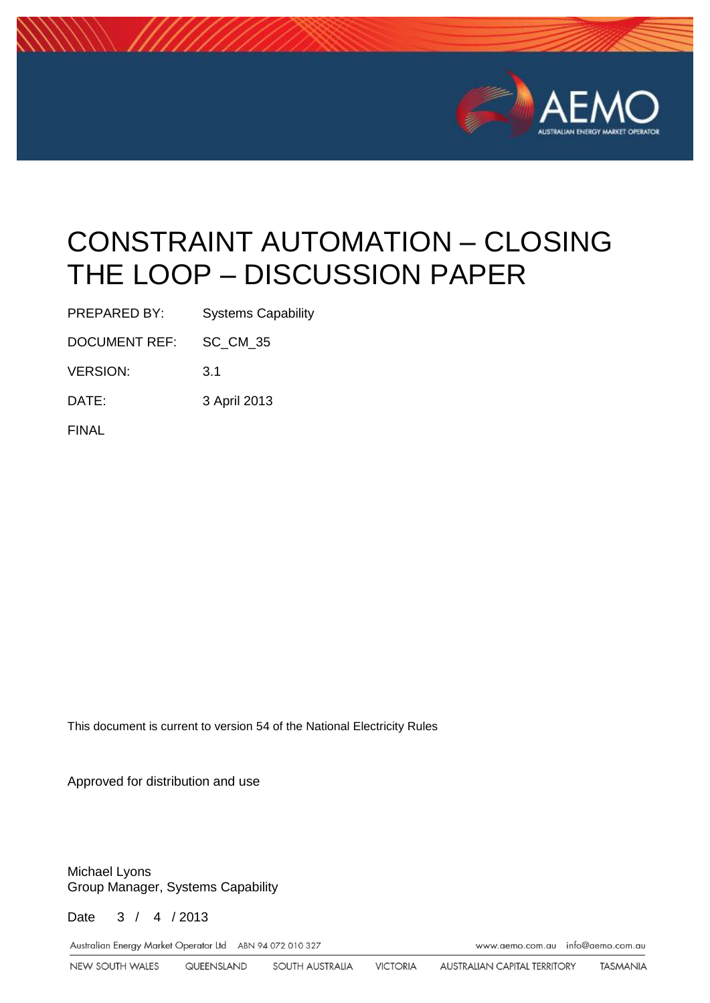

# CONSTRAINT AUTOMATION – CLOSING THE LOOP – DISCUSSION PAPER

PREPARED BY: Systems Capability

DOCUMENT REF: SC\_CM\_35

VERSION: 3.1

DATE: 3 April 2013

FINAL

This document is current to version 54 of the National Electricity Rules

Approved for distribution and use

Michael Lyons Group Manager, Systems Capability

Date 3 / 4 / 2013

Australian Energy Market Operator Ltd ABN 94 072 010 327 Www.aemo.com.au info@aemo.com.au info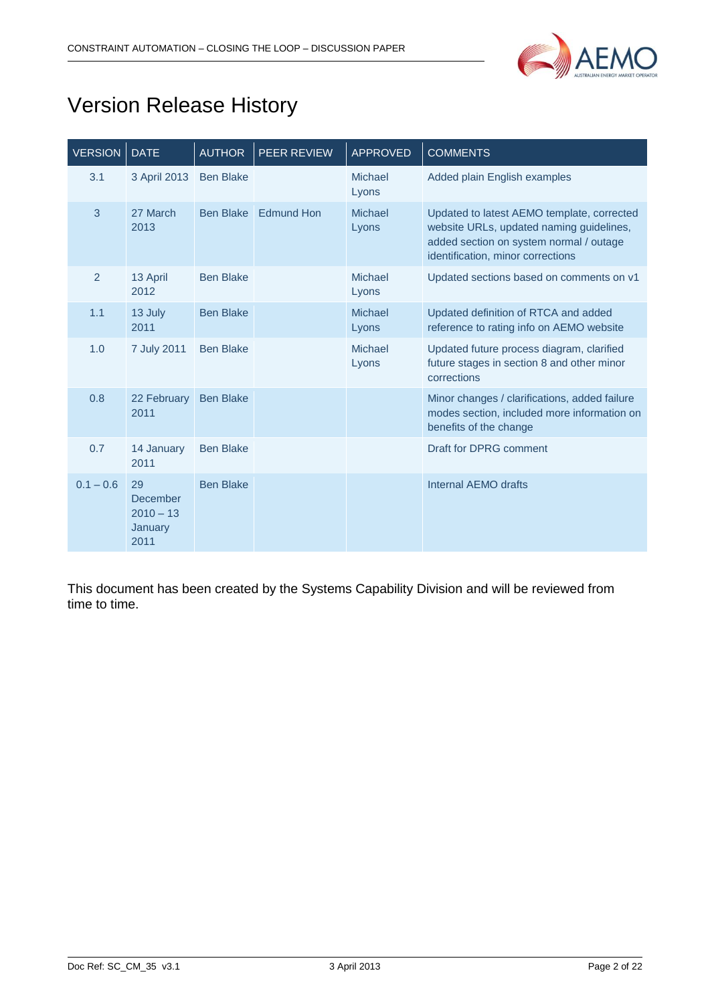

## Version Release History

| <b>VERSION</b> | <b>DATE</b>                                             | <b>AUTHOR</b>    | <b>PEER REVIEW</b> | <b>APPROVED</b>  | <b>COMMENTS</b>                                                                                                                                                        |
|----------------|---------------------------------------------------------|------------------|--------------------|------------------|------------------------------------------------------------------------------------------------------------------------------------------------------------------------|
| 3.1            | 3 April 2013                                            | <b>Ben Blake</b> |                    | Michael<br>Lyons | Added plain English examples                                                                                                                                           |
| 3              | 27 March<br>2013                                        | <b>Ben Blake</b> | <b>Edmund Hon</b>  | Michael<br>Lyons | Updated to latest AEMO template, corrected<br>website URLs, updated naming guidelines,<br>added section on system normal / outage<br>identification, minor corrections |
| $\overline{2}$ | 13 April<br>2012                                        | <b>Ben Blake</b> |                    | Michael<br>Lyons | Updated sections based on comments on v1                                                                                                                               |
| 1.1            | 13 July<br>2011                                         | <b>Ben Blake</b> |                    | Michael<br>Lyons | Updated definition of RTCA and added<br>reference to rating info on AEMO website                                                                                       |
| 1.0            | 7 July 2011                                             | <b>Ben Blake</b> |                    | Michael<br>Lyons | Updated future process diagram, clarified<br>future stages in section 8 and other minor<br>corrections                                                                 |
| 0.8            | 22 February<br>2011                                     | <b>Ben Blake</b> |                    |                  | Minor changes / clarifications, added failure<br>modes section, included more information on<br>benefits of the change                                                 |
| 0.7            | 14 January<br>2011                                      | <b>Ben Blake</b> |                    |                  | Draft for DPRG comment                                                                                                                                                 |
| $0.1 - 0.6$    | 29<br><b>December</b><br>$2010 - 13$<br>January<br>2011 | <b>Ben Blake</b> |                    |                  | Internal AEMO drafts                                                                                                                                                   |

This document has been created by the Systems Capability Division and will be reviewed from time to time.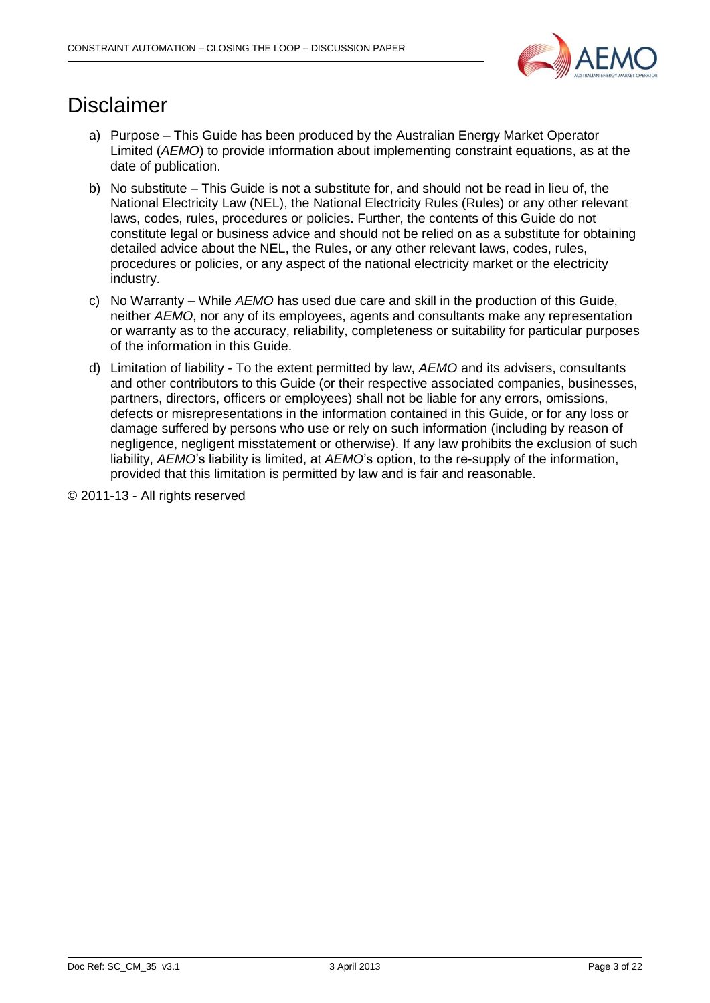

## Disclaimer

- a) Purpose This Guide has been produced by the Australian Energy Market Operator Limited (*AEMO*) to provide information about implementing constraint equations, as at the date of publication.
- b) No substitute This Guide is not a substitute for, and should not be read in lieu of, the National Electricity Law (NEL), the National Electricity Rules (Rules) or any other relevant laws, codes, rules, procedures or policies. Further, the contents of this Guide do not constitute legal or business advice and should not be relied on as a substitute for obtaining detailed advice about the NEL, the Rules, or any other relevant laws, codes, rules, procedures or policies, or any aspect of the national electricity market or the electricity industry.
- c) No Warranty While *AEMO* has used due care and skill in the production of this Guide, neither *AEMO*, nor any of its employees, agents and consultants make any representation or warranty as to the accuracy, reliability, completeness or suitability for particular purposes of the information in this Guide.
- d) Limitation of liability To the extent permitted by law, *AEMO* and its advisers, consultants and other contributors to this Guide (or their respective associated companies, businesses, partners, directors, officers or employees) shall not be liable for any errors, omissions, defects or misrepresentations in the information contained in this Guide, or for any loss or damage suffered by persons who use or rely on such information (including by reason of negligence, negligent misstatement or otherwise). If any law prohibits the exclusion of such liability, *AEMO*'s liability is limited, at *AEMO*'s option, to the re-supply of the information, provided that this limitation is permitted by law and is fair and reasonable.

© 2011-13 - All rights reserved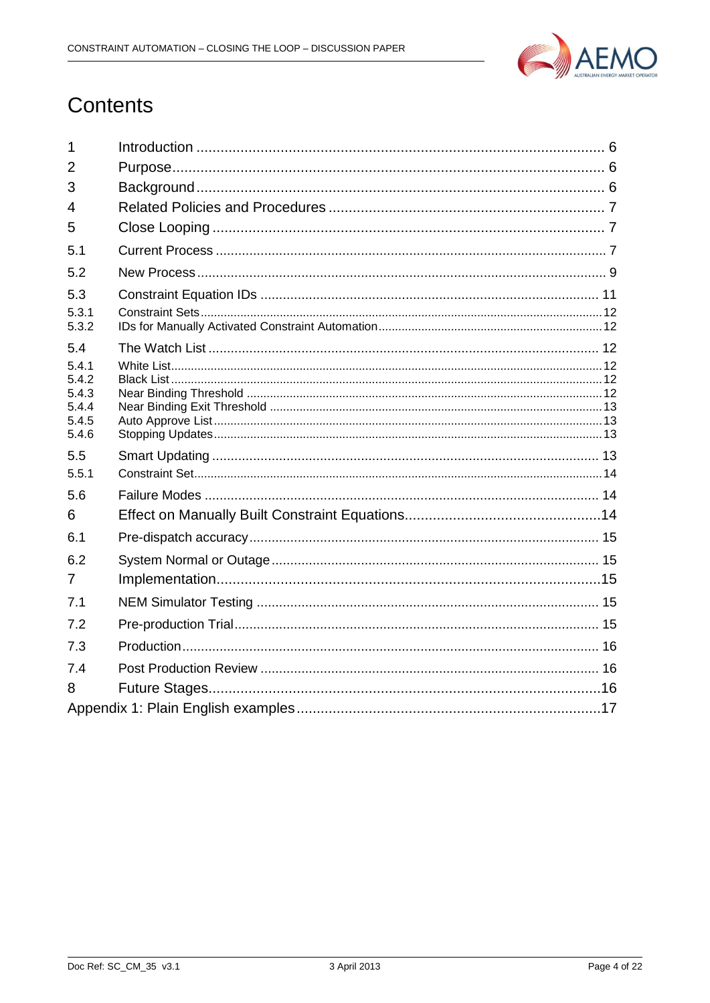

## Contents

| $\mathbf 1$    |  |  |  |  |  |
|----------------|--|--|--|--|--|
| 2              |  |  |  |  |  |
| 3              |  |  |  |  |  |
| 4              |  |  |  |  |  |
| 5              |  |  |  |  |  |
| 5.1            |  |  |  |  |  |
| 5.2            |  |  |  |  |  |
| 5.3            |  |  |  |  |  |
| 5.3.1<br>5.3.2 |  |  |  |  |  |
| 5.4            |  |  |  |  |  |
| 5.4.1<br>5.4.2 |  |  |  |  |  |
| 5.4.3          |  |  |  |  |  |
| 5.4.4          |  |  |  |  |  |
| 5.4.5<br>5.4.6 |  |  |  |  |  |
| 5.5            |  |  |  |  |  |
| 5.5.1          |  |  |  |  |  |
| 5.6            |  |  |  |  |  |
| 6              |  |  |  |  |  |
| 6.1            |  |  |  |  |  |
| 6.2            |  |  |  |  |  |
| 7              |  |  |  |  |  |
| 7.1            |  |  |  |  |  |
| 7.2            |  |  |  |  |  |
| 7.3            |  |  |  |  |  |
| 7.4            |  |  |  |  |  |
| 8              |  |  |  |  |  |
|                |  |  |  |  |  |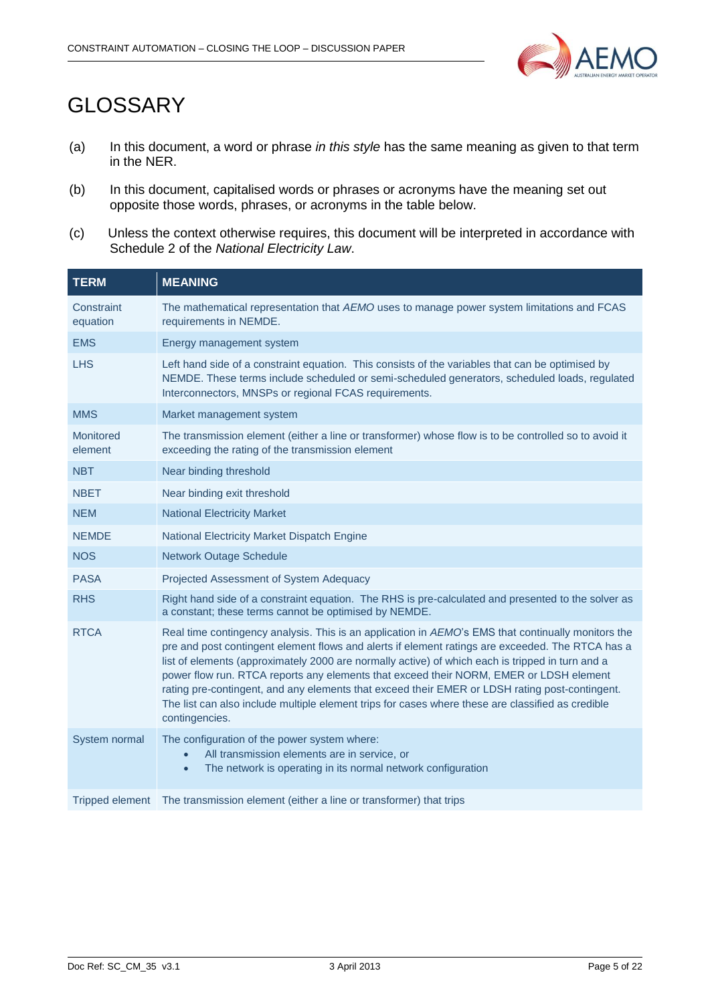

## GLOSSARY

- (a) In this document, a word or phrase *in this style* has the same meaning as given to that term in the NER.
- (b) In this document, capitalised words or phrases or acronyms have the meaning set out opposite those words, phrases, or acronyms in the table below.
- (c) Unless the context otherwise requires, this document will be interpreted in accordance with Schedule 2 of the *National Electricity Law*.

| <b>TERM</b>            | <b>MEANING</b>                                                                                                                                                                                                                                                                                                                                                                                                                                                                                                                                                                                                                |
|------------------------|-------------------------------------------------------------------------------------------------------------------------------------------------------------------------------------------------------------------------------------------------------------------------------------------------------------------------------------------------------------------------------------------------------------------------------------------------------------------------------------------------------------------------------------------------------------------------------------------------------------------------------|
| Constraint<br>equation | The mathematical representation that AEMO uses to manage power system limitations and FCAS<br>requirements in NEMDE.                                                                                                                                                                                                                                                                                                                                                                                                                                                                                                          |
| <b>EMS</b>             | Energy management system                                                                                                                                                                                                                                                                                                                                                                                                                                                                                                                                                                                                      |
| <b>LHS</b>             | Left hand side of a constraint equation. This consists of the variables that can be optimised by<br>NEMDE. These terms include scheduled or semi-scheduled generators, scheduled loads, regulated<br>Interconnectors, MNSPs or regional FCAS requirements.                                                                                                                                                                                                                                                                                                                                                                    |
| <b>MMS</b>             | Market management system                                                                                                                                                                                                                                                                                                                                                                                                                                                                                                                                                                                                      |
| Monitored<br>element   | The transmission element (either a line or transformer) whose flow is to be controlled so to avoid it<br>exceeding the rating of the transmission element                                                                                                                                                                                                                                                                                                                                                                                                                                                                     |
| <b>NBT</b>             | Near binding threshold                                                                                                                                                                                                                                                                                                                                                                                                                                                                                                                                                                                                        |
| <b>NBET</b>            | Near binding exit threshold                                                                                                                                                                                                                                                                                                                                                                                                                                                                                                                                                                                                   |
| <b>NEM</b>             | <b>National Electricity Market</b>                                                                                                                                                                                                                                                                                                                                                                                                                                                                                                                                                                                            |
| <b>NEMDE</b>           | National Electricity Market Dispatch Engine                                                                                                                                                                                                                                                                                                                                                                                                                                                                                                                                                                                   |
| <b>NOS</b>             | <b>Network Outage Schedule</b>                                                                                                                                                                                                                                                                                                                                                                                                                                                                                                                                                                                                |
| <b>PASA</b>            | Projected Assessment of System Adequacy                                                                                                                                                                                                                                                                                                                                                                                                                                                                                                                                                                                       |
| <b>RHS</b>             | Right hand side of a constraint equation. The RHS is pre-calculated and presented to the solver as<br>a constant; these terms cannot be optimised by NEMDE.                                                                                                                                                                                                                                                                                                                                                                                                                                                                   |
| <b>RTCA</b>            | Real time contingency analysis. This is an application in AEMO's EMS that continually monitors the<br>pre and post contingent element flows and alerts if element ratings are exceeded. The RTCA has a<br>list of elements (approximately 2000 are normally active) of which each is tripped in turn and a<br>power flow run. RTCA reports any elements that exceed their NORM, EMER or LDSH element<br>rating pre-contingent, and any elements that exceed their EMER or LDSH rating post-contingent.<br>The list can also include multiple element trips for cases where these are classified as credible<br>contingencies. |
| System normal          | The configuration of the power system where:<br>All transmission elements are in service, or<br>The network is operating in its normal network configuration<br>$\bullet$                                                                                                                                                                                                                                                                                                                                                                                                                                                     |
| <b>Tripped element</b> | The transmission element (either a line or transformer) that trips                                                                                                                                                                                                                                                                                                                                                                                                                                                                                                                                                            |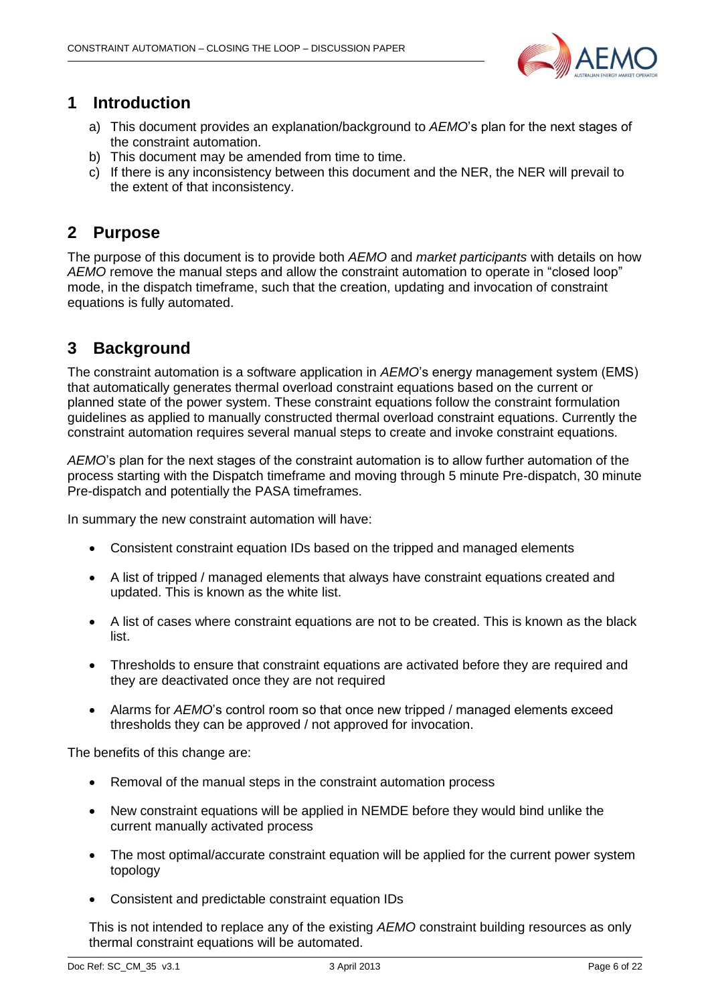

### <span id="page-5-0"></span>**1 Introduction**

- a) This document provides an explanation/background to *AEMO*'s plan for the next stages of the constraint automation.
- b) This document may be amended from time to time.
- c) If there is any inconsistency between this document and the NER, the NER will prevail to the extent of that inconsistency.

## <span id="page-5-1"></span>**2 Purpose**

The purpose of this document is to provide both *AEMO* and *market participants* with details on how *AEMO* remove the manual steps and allow the constraint automation to operate in "closed loop" mode, in the dispatch timeframe, such that the creation, updating and invocation of constraint equations is fully automated.

## <span id="page-5-2"></span>**3 Background**

The constraint automation is a software application in *AEMO*'s energy management system (EMS) that automatically generates thermal overload constraint equations based on the current or planned state of the power system. These constraint equations follow the constraint formulation guidelines as applied to manually constructed thermal overload constraint equations. Currently the constraint automation requires several manual steps to create and invoke constraint equations.

*AEMO*'s plan for the next stages of the constraint automation is to allow further automation of the process starting with the Dispatch timeframe and moving through 5 minute Pre-dispatch, 30 minute Pre-dispatch and potentially the PASA timeframes.

In summary the new constraint automation will have:

- Consistent constraint equation IDs based on the tripped and managed elements
- A list of tripped / managed elements that always have constraint equations created and updated. This is known as the white list.
- A list of cases where constraint equations are not to be created. This is known as the black list.
- Thresholds to ensure that constraint equations are activated before they are required and they are deactivated once they are not required
- Alarms for *AEMO*'s control room so that once new tripped / managed elements exceed thresholds they can be approved / not approved for invocation.

The benefits of this change are:

- Removal of the manual steps in the constraint automation process
- New constraint equations will be applied in NEMDE before they would bind unlike the current manually activated process
- The most optimal/accurate constraint equation will be applied for the current power system topology
- Consistent and predictable constraint equation IDs

This is not intended to replace any of the existing *AEMO* constraint building resources as only thermal constraint equations will be automated.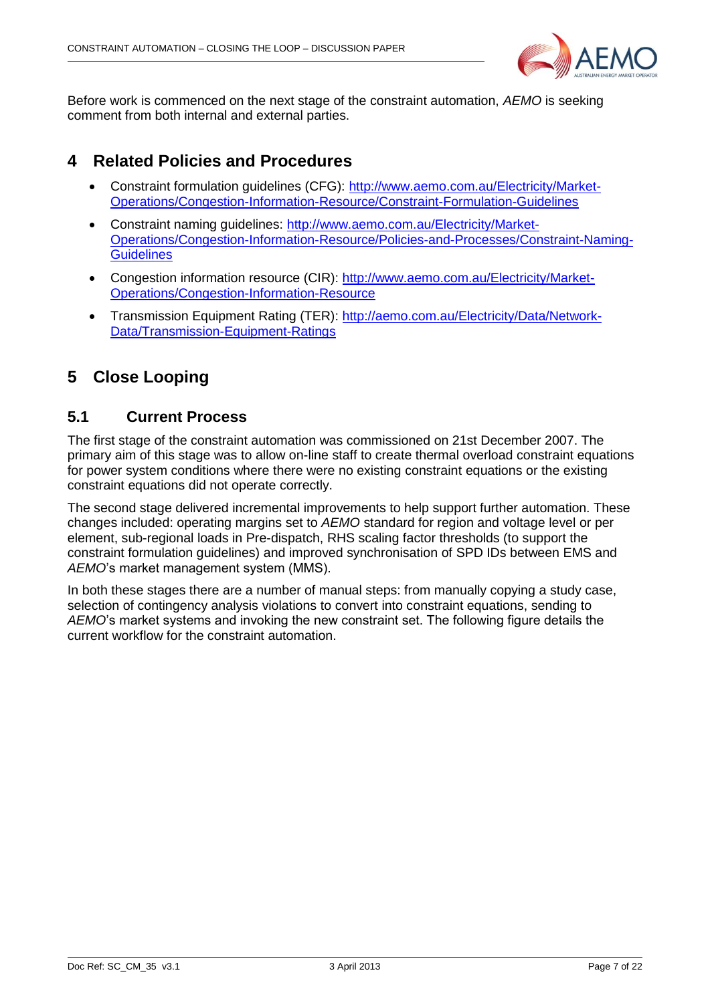

Before work is commenced on the next stage of the constraint automation, *AEMO* is seeking comment from both internal and external parties.

### <span id="page-6-0"></span>**4 Related Policies and Procedures**

- Constraint formulation guidelines (CFG): [http://www.aemo.com.au/Electricity/Market-](http://www.aemo.com.au/Electricity/Market-Operations/Congestion-Information-Resource/Constraint-Formulation-Guidelines)[Operations/Congestion-Information-Resource/Constraint-Formulation-Guidelines](http://www.aemo.com.au/Electricity/Market-Operations/Congestion-Information-Resource/Constraint-Formulation-Guidelines)
- Constraint naming guidelines: [http://www.aemo.com.au/Electricity/Market-](http://www.aemo.com.au/Electricity/Market-Operations/Congestion-Information-Resource/Policies-and-Processes/Constraint-Naming-Guidelines)[Operations/Congestion-Information-Resource/Policies-and-Processes/Constraint-Naming-](http://www.aemo.com.au/Electricity/Market-Operations/Congestion-Information-Resource/Policies-and-Processes/Constraint-Naming-Guidelines)**[Guidelines](http://www.aemo.com.au/Electricity/Market-Operations/Congestion-Information-Resource/Policies-and-Processes/Constraint-Naming-Guidelines)**
- Congestion information resource (CIR): [http://www.aemo.com.au/Electricity/Market-](http://www.aemo.com.au/Electricity/Market-Operations/Congestion-Information-Resource)[Operations/Congestion-Information-Resource](http://www.aemo.com.au/Electricity/Market-Operations/Congestion-Information-Resource)
- Transmission Equipment Rating (TER): [http://aemo.com.au/Electricity/Data/Network-](http://aemo.com.au/Electricity/Data/Network-Data/Transmission-Equipment-Ratings)[Data/Transmission-Equipment-Ratings](http://aemo.com.au/Electricity/Data/Network-Data/Transmission-Equipment-Ratings)

## <span id="page-6-1"></span>**5 Close Looping**

#### <span id="page-6-2"></span>**5.1 Current Process**

The first stage of the constraint automation was commissioned on 21st December 2007. The primary aim of this stage was to allow on-line staff to create thermal overload constraint equations for power system conditions where there were no existing constraint equations or the existing constraint equations did not operate correctly.

The second stage delivered incremental improvements to help support further automation. These changes included: operating margins set to *AEMO* standard for region and voltage level or per element, sub-regional loads in Pre-dispatch, RHS scaling factor thresholds (to support the constraint formulation guidelines) and improved synchronisation of SPD IDs between EMS and *AEMO*'s market management system (MMS).

In both these stages there are a number of manual steps: from manually copying a study case, selection of contingency analysis violations to convert into constraint equations, sending to *AEMO*'s market systems and invoking the new constraint set. The following figure details the current workflow for the constraint automation.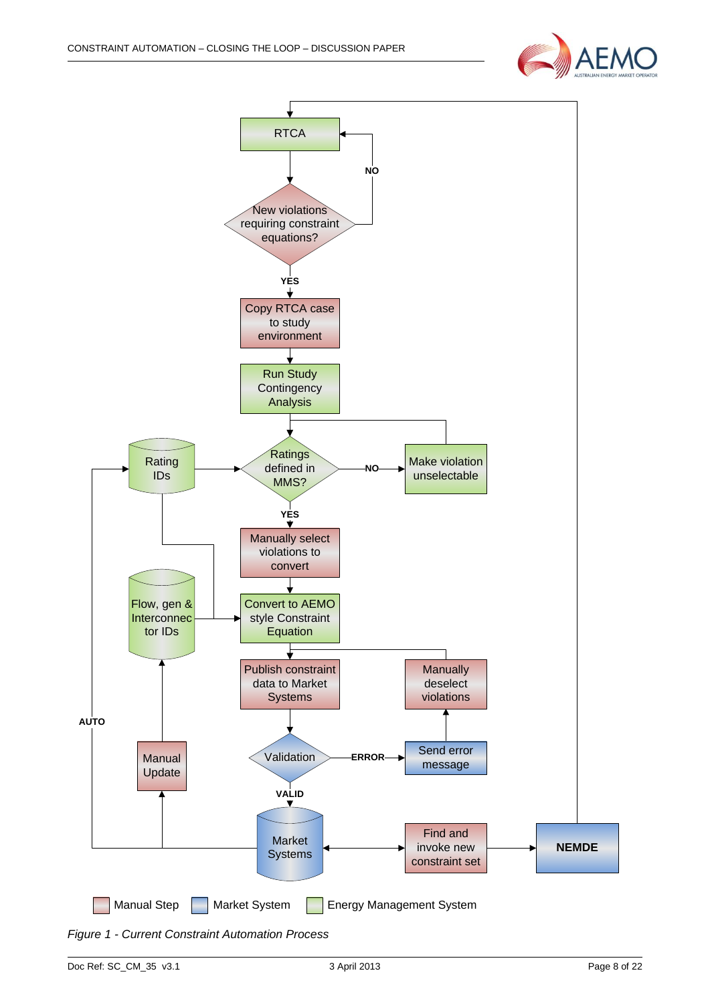



<span id="page-7-0"></span>*Figure 1 - Current Constraint Automation Process*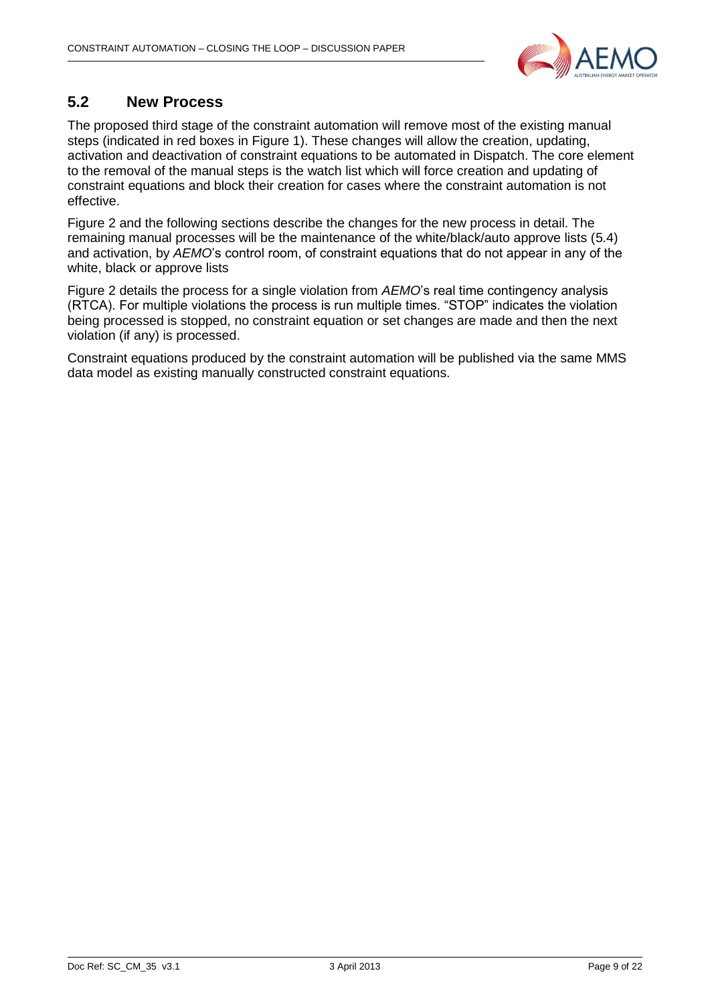

#### <span id="page-8-0"></span>**5.2 New Process**

The proposed third stage of the constraint automation will remove most of the existing manual steps (indicated in red boxes in [Figure 1\)](#page-7-0). These changes will allow the creation, updating, activation and deactivation of constraint equations to be automated in Dispatch. The core element to the removal of the manual steps is the watch list which will force creation and updating of constraint equations and block their creation for cases where the constraint automation is not effective.

[Figure 2](#page-9-0) and the following sections describe the changes for the new process in detail. The remaining manual processes will be the maintenance of the white/black/auto approve lists [\(5.4\)](#page-11-2) and activation, by *AEMO*'s control room, of constraint equations that do not appear in any of the white, black or approve lists

[Figure 2](#page-9-0) details the process for a single violation from *AEMO*'s real time contingency analysis (RTCA). For multiple violations the process is run multiple times. "STOP" indicates the violation being processed is stopped, no constraint equation or set changes are made and then the next violation (if any) is processed.

Constraint equations produced by the constraint automation will be published via the same MMS data model as existing manually constructed constraint equations.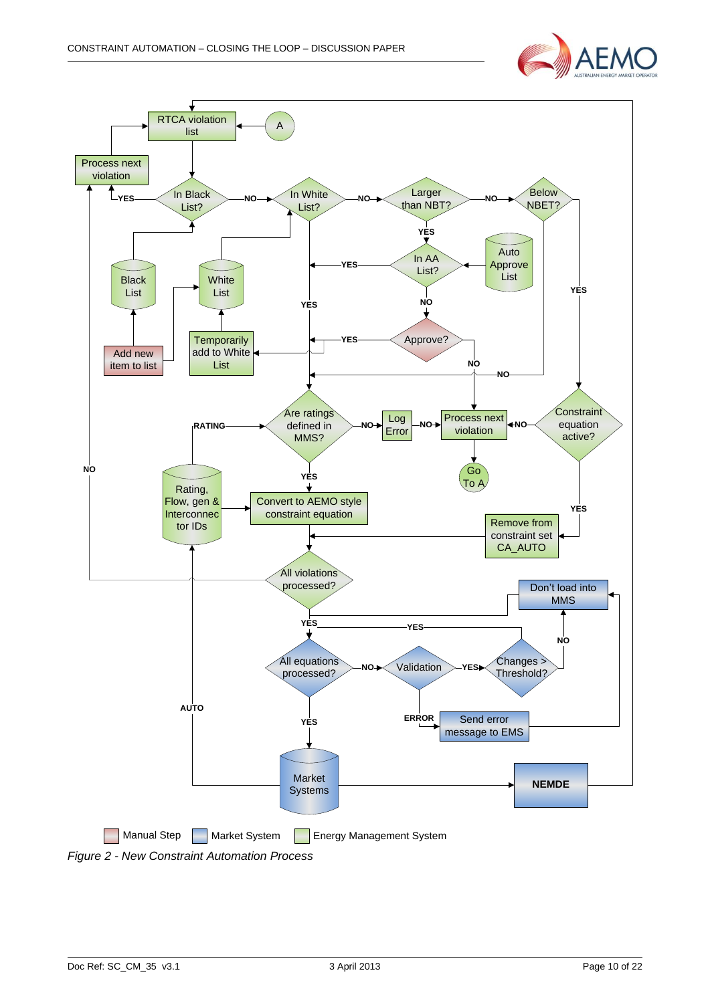

<span id="page-9-0"></span>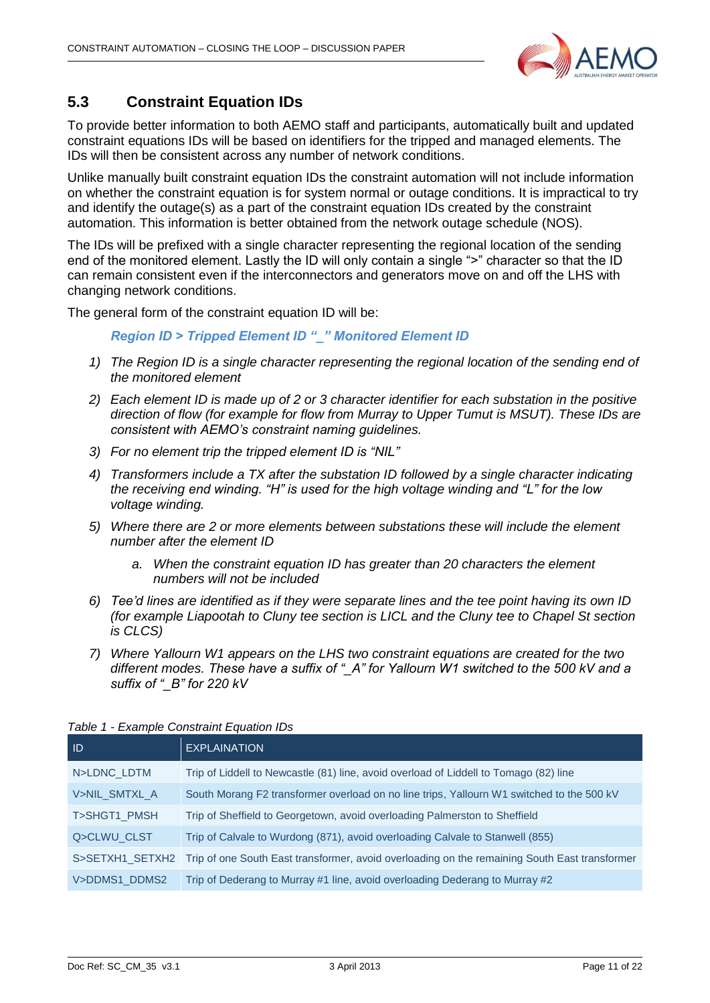

### <span id="page-10-0"></span>**5.3 Constraint Equation IDs**

To provide better information to both AEMO staff and participants, automatically built and updated constraint equations IDs will be based on identifiers for the tripped and managed elements. The IDs will then be consistent across any number of network conditions.

Unlike manually built constraint equation IDs the constraint automation will not include information on whether the constraint equation is for system normal or outage conditions. It is impractical to try and identify the outage(s) as a part of the constraint equation IDs created by the constraint automation. This information is better obtained from the network outage schedule (NOS).

The IDs will be prefixed with a single character representing the regional location of the sending end of the monitored element. Lastly the ID will only contain a single ">" character so that the ID can remain consistent even if the interconnectors and generators move on and off the LHS with changing network conditions.

The general form of the constraint equation ID will be:

*Region ID > Tripped Element ID "\_" Monitored Element ID*

- *1) The Region ID is a single character representing the regional location of the sending end of the monitored element*
- *2) Each element ID is made up of 2 or 3 character identifier for each substation in the positive direction of flow (for example for flow from Murray to Upper Tumut is MSUT). These IDs are consistent with AEMO's constraint naming guidelines.*
- *3) For no element trip the tripped element ID is "NIL"*
- *4) Transformers include a TX after the substation ID followed by a single character indicating the receiving end winding. "H" is used for the high voltage winding and "L" for the low voltage winding.*
- *5) Where there are 2 or more elements between substations these will include the element number after the element ID*
	- *a. When the constraint equation ID has greater than 20 characters the element numbers will not be included*
- *6) Tee'd lines are identified as if they were separate lines and the tee point having its own ID (for example Liapootah to Cluny tee section is LICL and the Cluny tee to Chapel St section is CLCS)*
- *7) Where Yallourn W1 appears on the LHS two constraint equations are created for the two different modes. These have a suffix of "\_A" for Yallourn W1 switched to the 500 kV and a suffix of "\_B" for 220 kV*

| -ID           | <b>EXPLAINATION</b>                                                                                           |  |  |  |
|---------------|---------------------------------------------------------------------------------------------------------------|--|--|--|
| N>LDNC LDTM   | Trip of Liddell to Newcastle (81) line, avoid overload of Liddell to Tomago (82) line                         |  |  |  |
| V>NIL SMTXL A | South Morang F2 transformer overload on no line trips, Yallourn W1 switched to the 500 kV                     |  |  |  |
| T>SHGT1 PMSH  | Trip of Sheffield to Georgetown, avoid overloading Palmerston to Sheffield                                    |  |  |  |
| Q>CLWU CLST   | Trip of Calvale to Wurdong (871), avoid overloading Calvale to Stanwell (855)                                 |  |  |  |
|               | S>SETXH1 SETXH2 Trip of one South East transformer, avoid overloading on the remaining South East transformer |  |  |  |
| V>DDMS1 DDMS2 | Trip of Dederang to Murray #1 line, avoid overloading Dederang to Murray #2                                   |  |  |  |

#### *Table 1 - Example Constraint Equation IDs*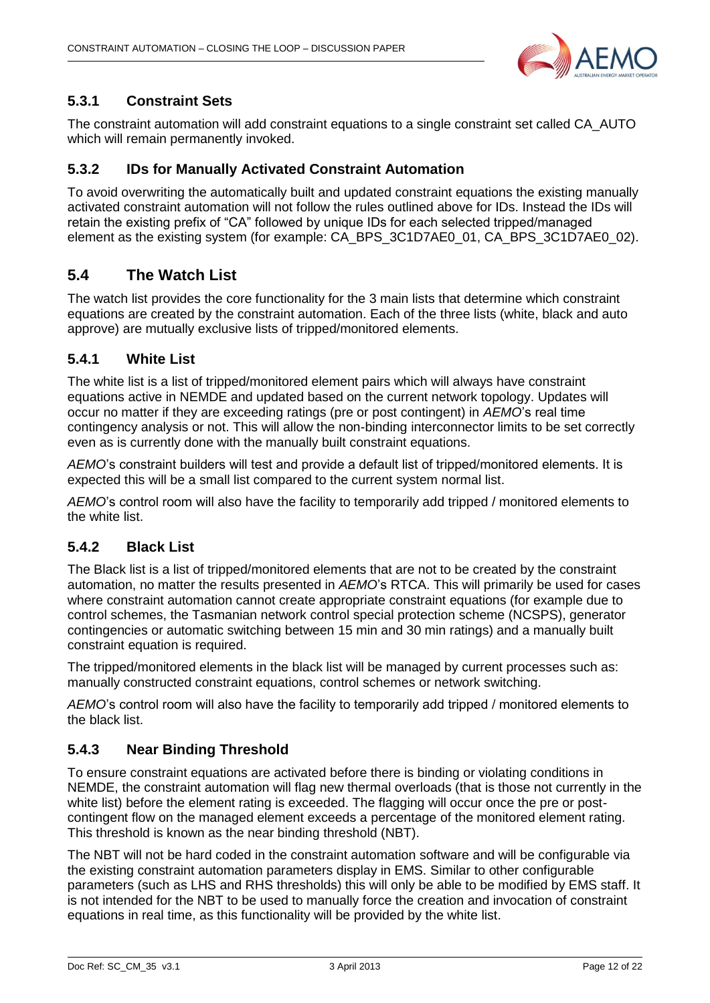

#### <span id="page-11-0"></span>**5.3.1 Constraint Sets**

The constraint automation will add constraint equations to a single constraint set called CA\_AUTO which will remain permanently invoked.

#### <span id="page-11-1"></span>**5.3.2 IDs for Manually Activated Constraint Automation**

To avoid overwriting the automatically built and updated constraint equations the existing manually activated constraint automation will not follow the rules outlined above for IDs. Instead the IDs will retain the existing prefix of "CA" followed by unique IDs for each selected tripped/managed element as the existing system (for example: CA\_BPS\_3C1D7AE0\_01, CA\_BPS\_3C1D7AE0\_02).

#### <span id="page-11-2"></span>**5.4 The Watch List**

The watch list provides the core functionality for the 3 main lists that determine which constraint equations are created by the constraint automation. Each of the three lists (white, black and auto approve) are mutually exclusive lists of tripped/monitored elements.

#### <span id="page-11-3"></span>**5.4.1 White List**

The white list is a list of tripped/monitored element pairs which will always have constraint equations active in NEMDE and updated based on the current network topology. Updates will occur no matter if they are exceeding ratings (pre or post contingent) in *AEMO*'s real time contingency analysis or not. This will allow the non-binding interconnector limits to be set correctly even as is currently done with the manually built constraint equations.

*AEMO*'s constraint builders will test and provide a default list of tripped/monitored elements. It is expected this will be a small list compared to the current system normal list.

*AEMO*'s control room will also have the facility to temporarily add tripped / monitored elements to the white list.

#### <span id="page-11-4"></span>**5.4.2 Black List**

The Black list is a list of tripped/monitored elements that are not to be created by the constraint automation, no matter the results presented in *AEMO*'s RTCA. This will primarily be used for cases where constraint automation cannot create appropriate constraint equations (for example due to control schemes, the Tasmanian network control special protection scheme (NCSPS), generator contingencies or automatic switching between 15 min and 30 min ratings) and a manually built constraint equation is required.

The tripped/monitored elements in the black list will be managed by current processes such as: manually constructed constraint equations, control schemes or network switching.

*AEMO*'s control room will also have the facility to temporarily add tripped / monitored elements to the black list.

#### <span id="page-11-5"></span>**5.4.3 Near Binding Threshold**

To ensure constraint equations are activated before there is binding or violating conditions in NEMDE, the constraint automation will flag new thermal overloads (that is those not currently in the white list) before the element rating is exceeded. The flagging will occur once the pre or postcontingent flow on the managed element exceeds a percentage of the monitored element rating. This threshold is known as the near binding threshold (NBT).

The NBT will not be hard coded in the constraint automation software and will be configurable via the existing constraint automation parameters display in EMS. Similar to other configurable parameters (such as LHS and RHS thresholds) this will only be able to be modified by EMS staff. It is not intended for the NBT to be used to manually force the creation and invocation of constraint equations in real time, as this functionality will be provided by the white list.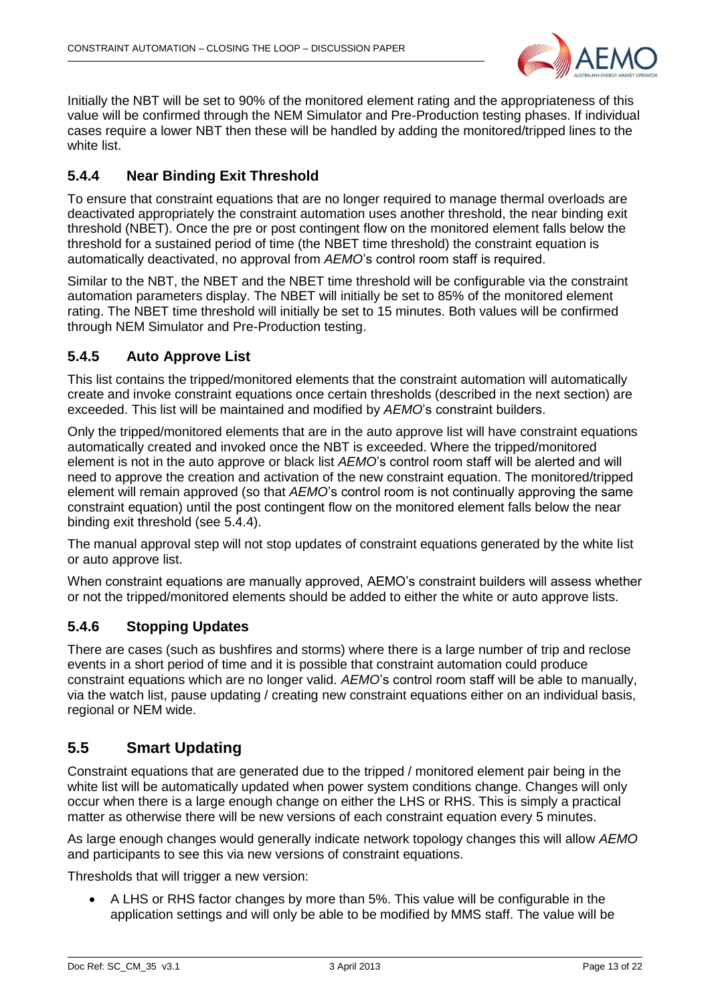

Initially the NBT will be set to 90% of the monitored element rating and the appropriateness of this value will be confirmed through the NEM Simulator and Pre-Production testing phases. If individual cases require a lower NBT then these will be handled by adding the monitored/tripped lines to the white list.

#### <span id="page-12-0"></span>**5.4.4 Near Binding Exit Threshold**

To ensure that constraint equations that are no longer required to manage thermal overloads are deactivated appropriately the constraint automation uses another threshold, the near binding exit threshold (NBET). Once the pre or post contingent flow on the monitored element falls below the threshold for a sustained period of time (the NBET time threshold) the constraint equation is automatically deactivated, no approval from *AEMO*'s control room staff is required.

Similar to the NBT, the NBET and the NBET time threshold will be configurable via the constraint automation parameters display. The NBET will initially be set to 85% of the monitored element rating. The NBET time threshold will initially be set to 15 minutes. Both values will be confirmed through NEM Simulator and Pre-Production testing.

#### <span id="page-12-1"></span>**5.4.5 Auto Approve List**

This list contains the tripped/monitored elements that the constraint automation will automatically create and invoke constraint equations once certain thresholds (described in the next section) are exceeded. This list will be maintained and modified by *AEMO*'s constraint builders.

Only the tripped/monitored elements that are in the auto approve list will have constraint equations automatically created and invoked once the NBT is exceeded. Where the tripped/monitored element is not in the auto approve or black list *AEMO*'s control room staff will be alerted and will need to approve the creation and activation of the new constraint equation. The monitored/tripped element will remain approved (so that *AEMO*'s control room is not continually approving the same constraint equation) until the post contingent flow on the monitored element falls below the near binding exit threshold (see [5.4.4\)](#page-12-0).

The manual approval step will not stop updates of constraint equations generated by the white list or auto approve list.

When constraint equations are manually approved, AEMO's constraint builders will assess whether or not the tripped/monitored elements should be added to either the white or auto approve lists.

#### <span id="page-12-2"></span>**5.4.6 Stopping Updates**

There are cases (such as bushfires and storms) where there is a large number of trip and reclose events in a short period of time and it is possible that constraint automation could produce constraint equations which are no longer valid. *AEMO*'s control room staff will be able to manually, via the watch list, pause updating / creating new constraint equations either on an individual basis, regional or NEM wide.

#### <span id="page-12-3"></span>**5.5 Smart Updating**

Constraint equations that are generated due to the tripped / monitored element pair being in the white list will be automatically updated when power system conditions change. Changes will only occur when there is a large enough change on either the LHS or RHS. This is simply a practical matter as otherwise there will be new versions of each constraint equation every 5 minutes.

As large enough changes would generally indicate network topology changes this will allow *AEMO* and participants to see this via new versions of constraint equations.

Thresholds that will trigger a new version:

 A LHS or RHS factor changes by more than 5%. This value will be configurable in the application settings and will only be able to be modified by MMS staff. The value will be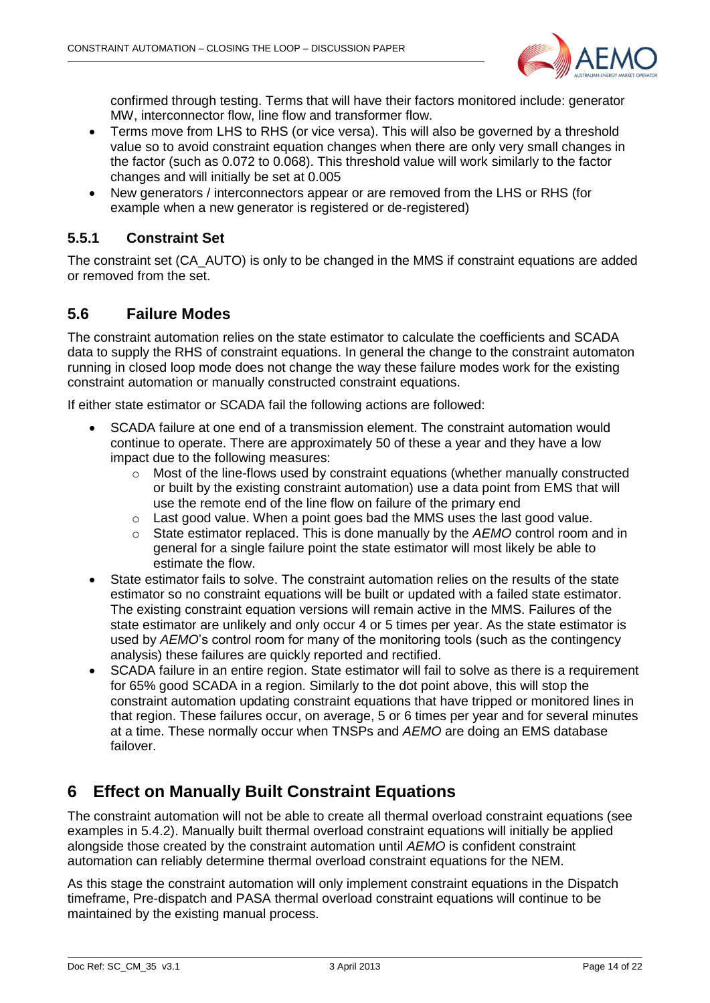

confirmed through testing. Terms that will have their factors monitored include: generator MW, interconnector flow, line flow and transformer flow.

- Terms move from LHS to RHS (or vice versa). This will also be governed by a threshold value so to avoid constraint equation changes when there are only very small changes in the factor (such as 0.072 to 0.068). This threshold value will work similarly to the factor changes and will initially be set at 0.005
- New generators / interconnectors appear or are removed from the LHS or RHS (for example when a new generator is registered or de-registered)

#### <span id="page-13-0"></span>**5.5.1 Constraint Set**

The constraint set (CA\_AUTO) is only to be changed in the MMS if constraint equations are added or removed from the set.

#### <span id="page-13-1"></span>**5.6 Failure Modes**

The constraint automation relies on the state estimator to calculate the coefficients and SCADA data to supply the RHS of constraint equations. In general the change to the constraint automaton running in closed loop mode does not change the way these failure modes work for the existing constraint automation or manually constructed constraint equations.

If either state estimator or SCADA fail the following actions are followed:

- SCADA failure at one end of a transmission element. The constraint automation would continue to operate. There are approximately 50 of these a year and they have a low impact due to the following measures:
	- o Most of the line-flows used by constraint equations (whether manually constructed or built by the existing constraint automation) use a data point from EMS that will use the remote end of the line flow on failure of the primary end
	- o Last good value. When a point goes bad the MMS uses the last good value.
	- o State estimator replaced. This is done manually by the *AEMO* control room and in general for a single failure point the state estimator will most likely be able to estimate the flow.
- State estimator fails to solve. The constraint automation relies on the results of the state estimator so no constraint equations will be built or updated with a failed state estimator. The existing constraint equation versions will remain active in the MMS. Failures of the state estimator are unlikely and only occur 4 or 5 times per year. As the state estimator is used by *AEMO*'s control room for many of the monitoring tools (such as the contingency analysis) these failures are quickly reported and rectified.
- SCADA failure in an entire region. State estimator will fail to solve as there is a requirement for 65% good SCADA in a region. Similarly to the dot point above, this will stop the constraint automation updating constraint equations that have tripped or monitored lines in that region. These failures occur, on average, 5 or 6 times per year and for several minutes at a time. These normally occur when TNSPs and *AEMO* are doing an EMS database failover.

## <span id="page-13-2"></span>**6 Effect on Manually Built Constraint Equations**

The constraint automation will not be able to create all thermal overload constraint equations (see examples in [5.4.2\)](#page-11-4). Manually built thermal overload constraint equations will initially be applied alongside those created by the constraint automation until *AEMO* is confident constraint automation can reliably determine thermal overload constraint equations for the NEM.

As this stage the constraint automation will only implement constraint equations in the Dispatch timeframe, Pre-dispatch and PASA thermal overload constraint equations will continue to be maintained by the existing manual process.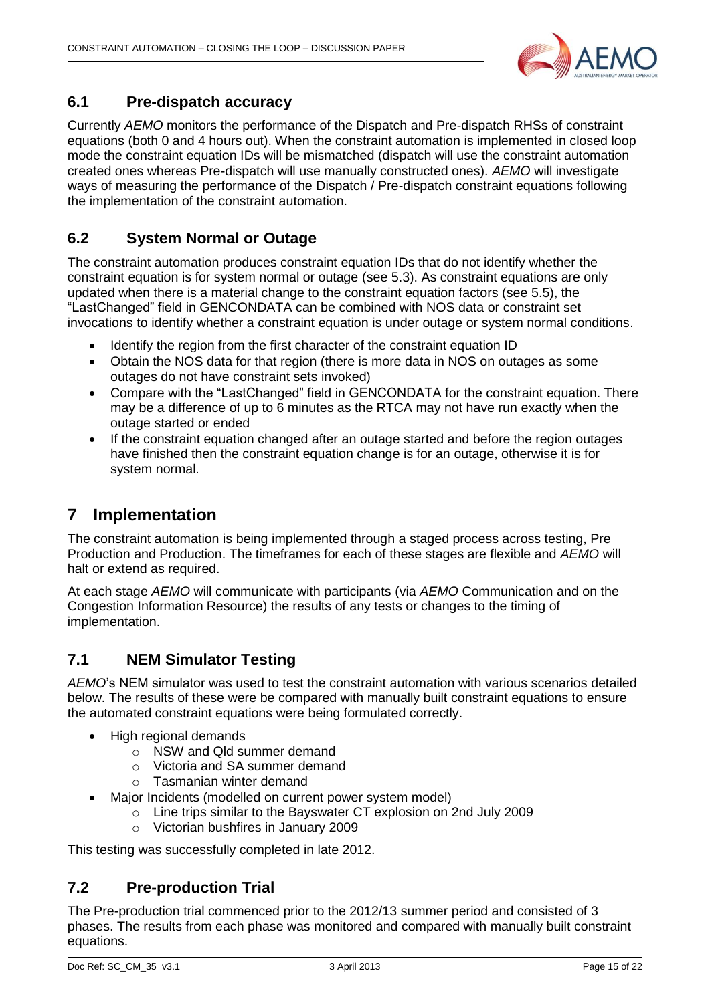

#### <span id="page-14-0"></span>**6.1 Pre-dispatch accuracy**

Currently *AEMO* monitors the performance of the Dispatch and Pre-dispatch RHSs of constraint equations (both 0 and 4 hours out). When the constraint automation is implemented in closed loop mode the constraint equation IDs will be mismatched (dispatch will use the constraint automation created ones whereas Pre-dispatch will use manually constructed ones). *AEMO* will investigate ways of measuring the performance of the Dispatch / Pre-dispatch constraint equations following the implementation of the constraint automation.

### <span id="page-14-1"></span>**6.2 System Normal or Outage**

The constraint automation produces constraint equation IDs that do not identify whether the constraint equation is for system normal or outage (see [5.3\)](#page-10-0). As constraint equations are only updated when there is a material change to the constraint equation factors (see [5.5\)](#page-12-3), the "LastChanged" field in GENCONDATA can be combined with NOS data or constraint set invocations to identify whether a constraint equation is under outage or system normal conditions.

- Identify the region from the first character of the constraint equation ID
- Obtain the NOS data for that region (there is more data in NOS on outages as some outages do not have constraint sets invoked)
- Compare with the "LastChanged" field in GENCONDATA for the constraint equation. There may be a difference of up to 6 minutes as the RTCA may not have run exactly when the outage started or ended
- If the constraint equation changed after an outage started and before the region outages have finished then the constraint equation change is for an outage, otherwise it is for system normal.

## <span id="page-14-2"></span>**7 Implementation**

The constraint automation is being implemented through a staged process across testing, Pre Production and Production. The timeframes for each of these stages are flexible and *AEMO* will halt or extend as required.

At each stage *AEMO* will communicate with participants (via *AEMO* Communication and on the Congestion Information Resource) the results of any tests or changes to the timing of implementation.

#### <span id="page-14-3"></span>**7.1 NEM Simulator Testing**

*AEMO*'s NEM simulator was used to test the constraint automation with various scenarios detailed below. The results of these were be compared with manually built constraint equations to ensure the automated constraint equations were being formulated correctly.

- High regional demands
	- o NSW and Qld summer demand
	- o Victoria and SA summer demand
	- o Tasmanian winter demand
- Major Incidents (modelled on current power system model)
	- o Line trips similar to the Bayswater CT explosion on 2nd July 2009
	- o Victorian bushfires in January 2009

This testing was successfully completed in late 2012.

#### <span id="page-14-4"></span>**7.2 Pre-production Trial**

The Pre-production trial commenced prior to the 2012/13 summer period and consisted of 3 phases. The results from each phase was monitored and compared with manually built constraint equations.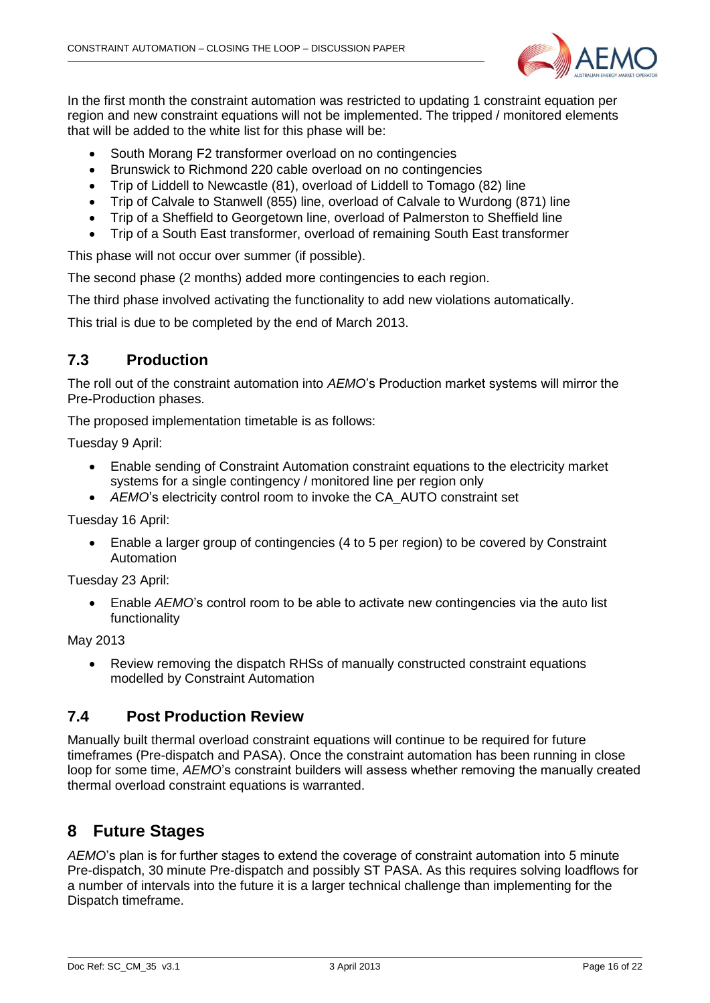

In the first month the constraint automation was restricted to updating 1 constraint equation per region and new constraint equations will not be implemented. The tripped / monitored elements that will be added to the white list for this phase will be:

- South Morang F2 transformer overload on no contingencies
- Brunswick to Richmond 220 cable overload on no contingencies
- Trip of Liddell to Newcastle (81), overload of Liddell to Tomago (82) line
- Trip of Calvale to Stanwell (855) line, overload of Calvale to Wurdong (871) line
- Trip of a Sheffield to Georgetown line, overload of Palmerston to Sheffield line
- Trip of a South East transformer, overload of remaining South East transformer

This phase will not occur over summer (if possible).

The second phase (2 months) added more contingencies to each region.

The third phase involved activating the functionality to add new violations automatically.

This trial is due to be completed by the end of March 2013.

#### <span id="page-15-0"></span>**7.3 Production**

The roll out of the constraint automation into *AEMO*'s Production market systems will mirror the Pre-Production phases.

The proposed implementation timetable is as follows:

Tuesday 9 April:

- Enable sending of Constraint Automation constraint equations to the electricity market systems for a single contingency / monitored line per region only
- *AEMO*'s electricity control room to invoke the CA\_AUTO constraint set

Tuesday 16 April:

 Enable a larger group of contingencies (4 to 5 per region) to be covered by Constraint Automation

Tuesday 23 April:

 Enable *AEMO*'s control room to be able to activate new contingencies via the auto list functionality

May 2013

 Review removing the dispatch RHSs of manually constructed constraint equations modelled by Constraint Automation

#### <span id="page-15-1"></span>**7.4 Post Production Review**

Manually built thermal overload constraint equations will continue to be required for future timeframes (Pre-dispatch and PASA). Once the constraint automation has been running in close loop for some time, *AEMO*'s constraint builders will assess whether removing the manually created thermal overload constraint equations is warranted.

## <span id="page-15-2"></span>**8 Future Stages**

*AEMO*'s plan is for further stages to extend the coverage of constraint automation into 5 minute Pre-dispatch, 30 minute Pre-dispatch and possibly ST PASA. As this requires solving loadflows for a number of intervals into the future it is a larger technical challenge than implementing for the Dispatch timeframe.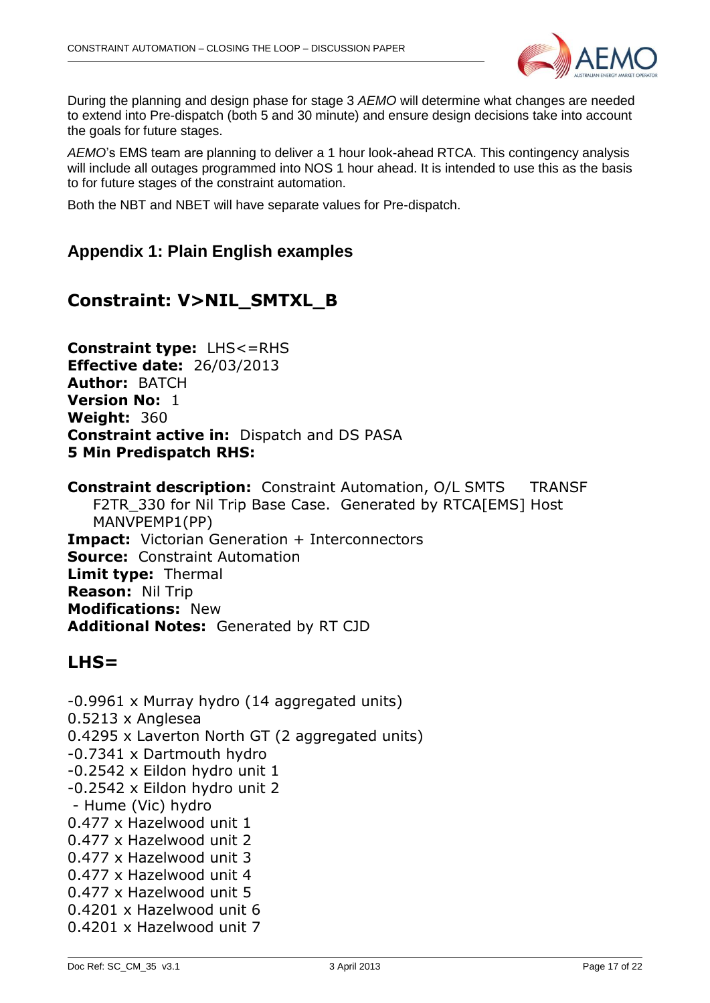

During the planning and design phase for stage 3 *AEMO* will determine what changes are needed to extend into Pre-dispatch (both 5 and 30 minute) and ensure design decisions take into account the goals for future stages.

*AEMO*'s EMS team are planning to deliver a 1 hour look-ahead RTCA. This contingency analysis will include all outages programmed into NOS 1 hour ahead. It is intended to use this as the basis to for future stages of the constraint automation.

<span id="page-16-0"></span>Both the NBT and NBET will have separate values for Pre-dispatch.

#### **Appendix 1: Plain English examples**

## **Constraint: V>NIL\_SMTXL\_B**

**Constraint type:** LHS<=RHS **Effective date:** 26/03/2013 **Author:** BATCH **Version No:** 1 **Weight:** 360 **Constraint active in:** Dispatch and DS PASA **5 Min Predispatch RHS:** 

**Constraint description:** Constraint Automation, O/L SMTS TRANSF F2TR 330 for Nil Trip Base Case. Generated by RTCA[EMS] Host MANVPEMP1(PP) **Impact:** Victorian Generation + Interconnectors **Source:** Constraint Automation **Limit type:** Thermal **Reason:** Nil Trip **Modifications:** New **Additional Notes:** Generated by RT CJD

#### **LHS=**

-0.9961 x Murray hydro (14 aggregated units) 0.5213 x Anglesea 0.4295 x Laverton North GT (2 aggregated units) -0.7341 x Dartmouth hydro -0.2542 x Eildon hydro unit 1 -0.2542 x Eildon hydro unit 2 - Hume (Vic) hydro 0.477 x Hazelwood unit 1 0.477 x Hazelwood unit 2 0.477 x Hazelwood unit 3 0.477 x Hazelwood unit 4 0.477 x Hazelwood unit 5 0.4201 x Hazelwood unit 6 0.4201 x Hazelwood unit 7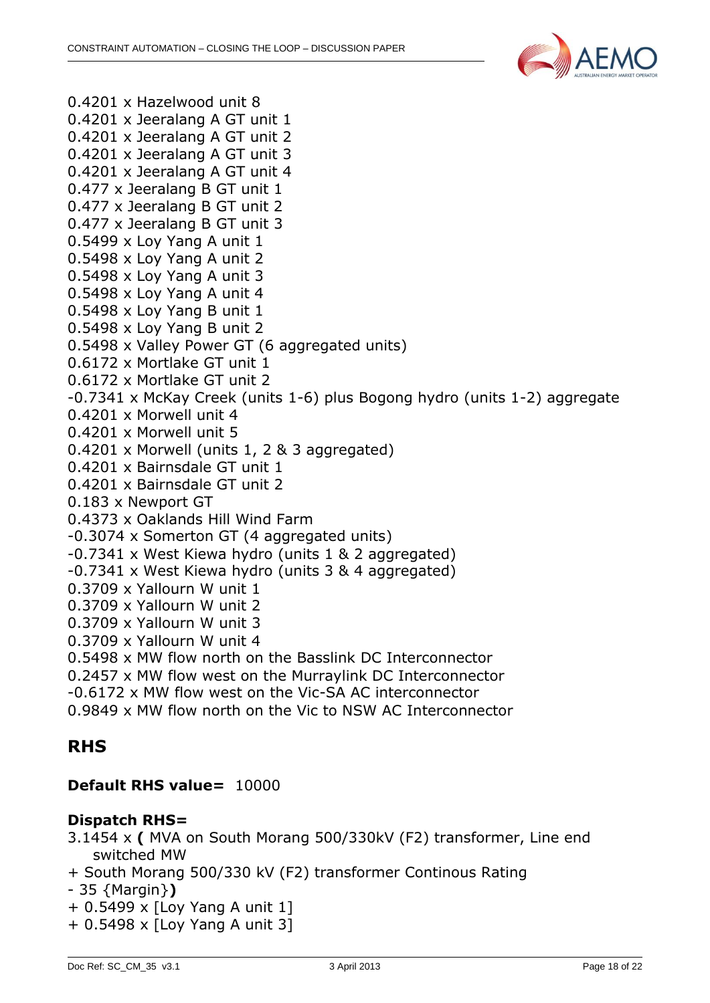

0.4201 x Hazelwood unit 8 0.4201 x Jeeralang A GT unit 1 0.4201 x Jeeralang A GT unit 2 0.4201 x Jeeralang A GT unit 3 0.4201 x Jeeralang A GT unit 4 0.477 x Jeeralang B GT unit 1 0.477 x Jeeralang B GT unit 2 0.477 x Jeeralang B GT unit 3 0.5499 x Loy Yang A unit 1 0.5498 x Loy Yang A unit 2 0.5498 x Loy Yang A unit 3 0.5498 x Loy Yang A unit 4 0.5498 x Loy Yang B unit 1 0.5498 x Loy Yang B unit 2 0.5498 x Valley Power GT (6 aggregated units) 0.6172 x Mortlake GT unit 1 0.6172 x Mortlake GT unit 2 -0.7341 x McKay Creek (units 1-6) plus Bogong hydro (units 1-2) aggregate 0.4201 x Morwell unit 4 0.4201 x Morwell unit 5 0.4201 x Morwell (units 1, 2 & 3 aggregated) 0.4201 x Bairnsdale GT unit 1 0.4201 x Bairnsdale GT unit 2 0.183 x Newport GT 0.4373 x Oaklands Hill Wind Farm -0.3074 x Somerton GT (4 aggregated units) -0.7341 x West Kiewa hydro (units 1 & 2 aggregated) -0.7341 x West Kiewa hydro (units 3 & 4 aggregated) 0.3709 x Yallourn W unit 1 0.3709 x Yallourn W unit 2 0.3709 x Yallourn W unit 3 0.3709 x Yallourn W unit 4 0.5498 x MW flow north on the Basslink DC Interconnector 0.2457 x MW flow west on the Murraylink DC Interconnector -0.6172 x MW flow west on the Vic-SA AC interconnector 0.9849 x MW flow north on the Vic to NSW AC Interconnector

## **RHS**

#### **Default RHS value=** 10000

#### **Dispatch RHS=**

- 3.1454 x **(** MVA on South Morang 500/330kV (F2) transformer, Line end switched MW
- + South Morang 500/330 kV (F2) transformer Continous Rating
- 35 {Margin}**)**
- + 0.5499 x [Loy Yang A unit 1]
- + 0.5498 x [Loy Yang A unit 3]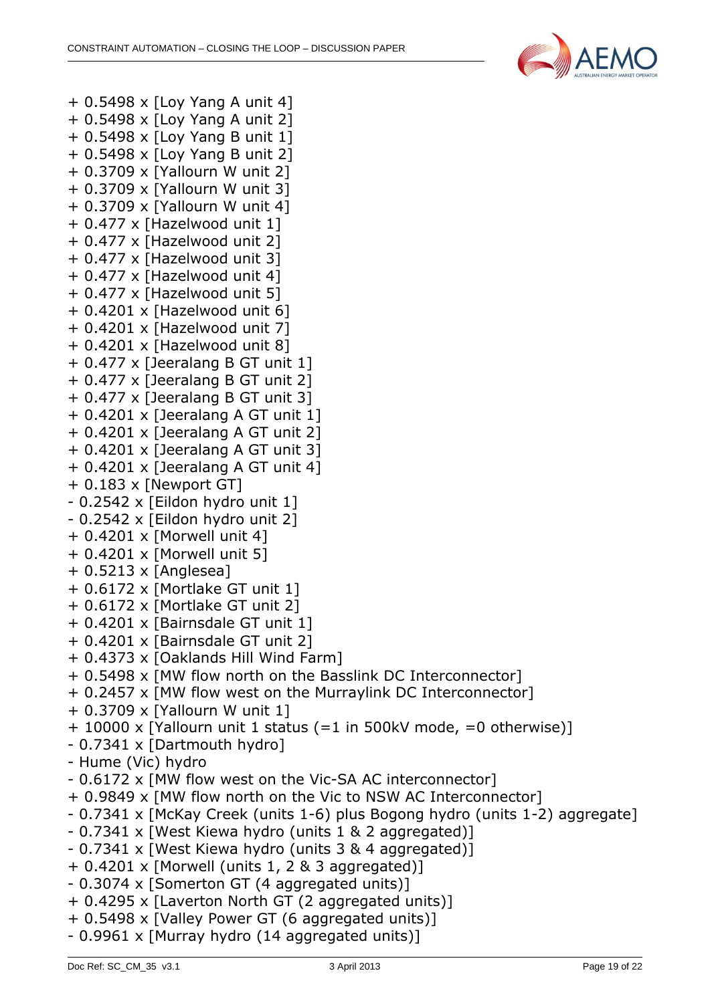

+ 0.5498 x [Loy Yang A unit 4] + 0.5498 x [Loy Yang A unit 2] + 0.5498 x [Loy Yang B unit 1] + 0.5498 x [Loy Yang B unit 2] + 0.3709 x [Yallourn W unit 2] + 0.3709 x [Yallourn W unit 3] + 0.3709 x [Yallourn W unit 4] + 0.477 x [Hazelwood unit 1] + 0.477 x [Hazelwood unit 2] + 0.477 x [Hazelwood unit 3] + 0.477 x [Hazelwood unit 4] + 0.477 x [Hazelwood unit 5] + 0.4201 x [Hazelwood unit 6] + 0.4201 x [Hazelwood unit 7] + 0.4201 x [Hazelwood unit 8] + 0.477 x [Jeeralang B GT unit 1] + 0.477 x [Jeeralang B GT unit 2] + 0.477 x [Jeeralang B GT unit 3] + 0.4201 x [Jeeralang A GT unit 1] + 0.4201 x [Jeeralang A GT unit 2] + 0.4201 x [Jeeralang A GT unit 3] + 0.4201 x [Jeeralang A GT unit 4]  $+ 0.183 \times$  [Newport GT] - 0.2542 x [Eildon hydro unit 1] - 0.2542 x [Eildon hydro unit 2] + 0.4201 x [Morwell unit 4] + 0.4201 x [Morwell unit 5] + 0.5213 x [Anglesea] + 0.6172 x [Mortlake GT unit 1] + 0.6172 x [Mortlake GT unit 2] + 0.4201 x [Bairnsdale GT unit 1] + 0.4201 x [Bairnsdale GT unit 2] + 0.4373 x [Oaklands Hill Wind Farm] + 0.5498 x [MW flow north on the Basslink DC Interconnector] + 0.2457 x [MW flow west on the Murraylink DC Interconnector] + 0.3709 x [Yallourn W unit 1] + 10000 x [Yallourn unit 1 status (=1 in 500kV mode, =0 otherwise)] - 0.7341 x [Dartmouth hydro] - Hume (Vic) hydro - 0.6172 x [MW flow west on the Vic-SA AC interconnector] + 0.9849 x [MW flow north on the Vic to NSW AC Interconnector] - 0.7341 x [McKay Creek (units 1-6) plus Bogong hydro (units 1-2) aggregate] - 0.7341 x [West Kiewa hydro (units 1 & 2 aggregated)] - 0.7341 x [West Kiewa hydro (units 3 & 4 aggregated)]  $+ 0.4201 \times$  [Morwell (units 1, 2 & 3 aggregated)] - 0.3074 x [Somerton GT (4 aggregated units)] + 0.4295 x [Laverton North GT (2 aggregated units)] + 0.5498 x [Valley Power GT (6 aggregated units)] - 0.9961 x [Murray hydro (14 aggregated units)]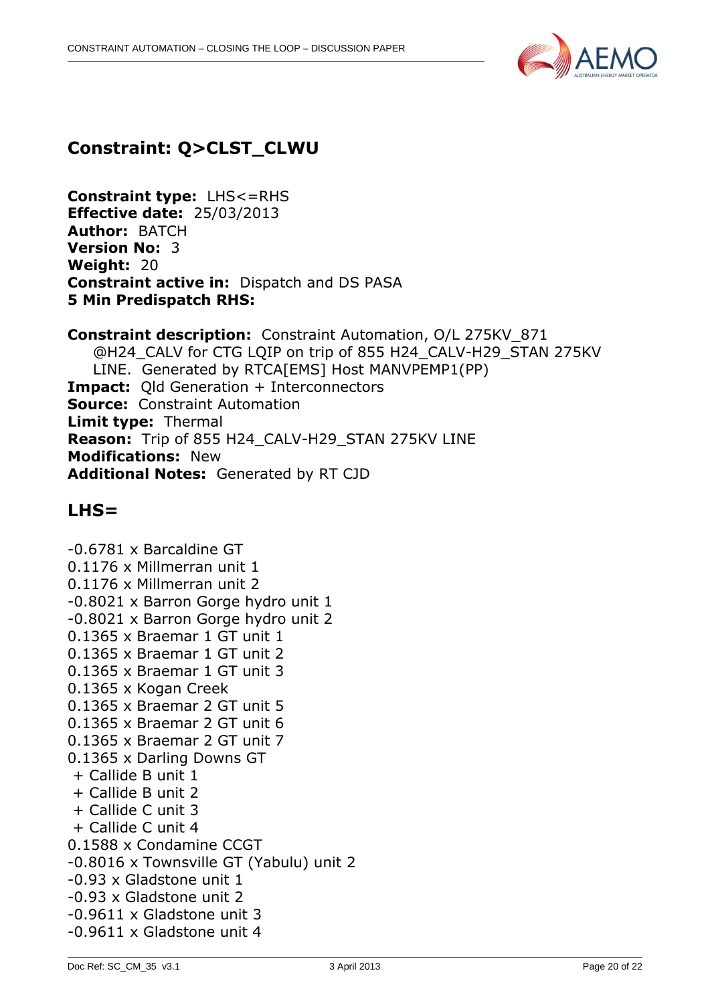

## **Constraint: Q>CLST\_CLWU**

**Constraint type:** LHS<=RHS **Effective date:** 25/03/2013 **Author:** BATCH **Version No:** 3 **Weight:** 20 **Constraint active in:** Dispatch and DS PASA **5 Min Predispatch RHS:** 

**Constraint description:** Constraint Automation, O/L 275KV\_871 @H24\_CALV for CTG LQIP on trip of 855 H24\_CALV-H29\_STAN 275KV LINE. Generated by RTCA[EMS] Host MANVPEMP1(PP) **Impact:** Old Generation + Interconnectors **Source:** Constraint Automation **Limit type:** Thermal **Reason:** Trip of 855 H24\_CALV-H29\_STAN 275KV LINE **Modifications:** New **Additional Notes:** Generated by RT CJD

### **LHS=**

-0.6781 x Barcaldine GT 0.1176 x Millmerran unit 1 0.1176 x Millmerran unit 2 -0.8021 x Barron Gorge hydro unit 1 -0.8021 x Barron Gorge hydro unit 2 0.1365 x Braemar 1 GT unit 1 0.1365 x Braemar 1 GT unit 2 0.1365 x Braemar 1 GT unit 3 0.1365 x Kogan Creek 0.1365 x Braemar 2 GT unit 5 0.1365 x Braemar 2 GT unit 6 0.1365 x Braemar 2 GT unit 7 0.1365 x Darling Downs GT + Callide B unit 1 + Callide B unit 2 + Callide C unit 3 + Callide C unit 4 0.1588 x Condamine CCGT -0.8016 x Townsville GT (Yabulu) unit 2 -0.93 x Gladstone unit 1 -0.93 x Gladstone unit 2 -0.9611 x Gladstone unit 3 -0.9611 x Gladstone unit 4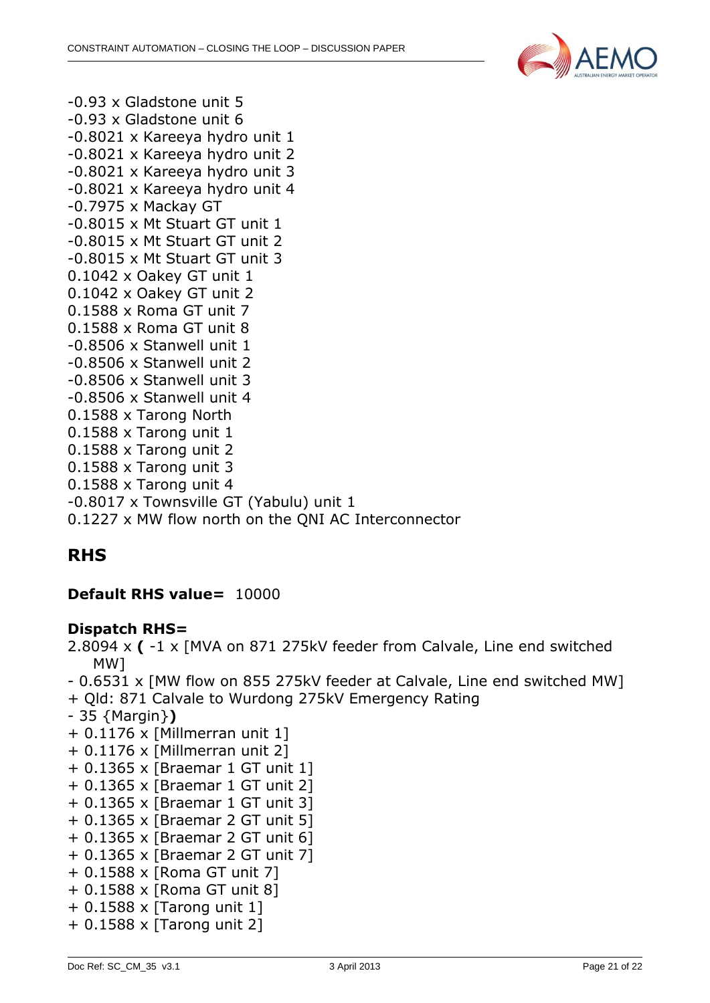

-0.93 x Gladstone unit 5 -0.93 x Gladstone unit 6 -0.8021 x Kareeya hydro unit 1 -0.8021 x Kareeya hydro unit 2 -0.8021 x Kareeya hydro unit 3 -0.8021 x Kareeya hydro unit 4 -0.7975 x Mackay GT -0.8015 x Mt Stuart GT unit 1 -0.8015 x Mt Stuart GT unit 2 -0.8015 x Mt Stuart GT unit 3 0.1042 x Oakey GT unit 1 0.1042 x Oakey GT unit 2 0.1588 x Roma GT unit 7 0.1588 x Roma GT unit 8 -0.8506 x Stanwell unit 1 -0.8506 x Stanwell unit 2 -0.8506 x Stanwell unit 3 -0.8506 x Stanwell unit 4 0.1588 x Tarong North 0.1588 x Tarong unit 1 0.1588 x Tarong unit 2 0.1588 x Tarong unit 3 0.1588 x Tarong unit 4 -0.8017 x Townsville GT (Yabulu) unit 1

0.1227 x MW flow north on the QNI AC Interconnector

## **RHS**

#### **Default RHS value=** 10000

#### **Dispatch RHS=**

2.8094 x **(** -1 x [MVA on 871 275kV feeder from Calvale, Line end switched MW]

- 0.6531 x [MW flow on 855 275kV feeder at Calvale, Line end switched MW]
- + Qld: 871 Calvale to Wurdong 275kV Emergency Rating
- 35 {Margin}**)**
- + 0.1176 x [Millmerran unit 1]
- + 0.1176 x [Millmerran unit 2]
- + 0.1365 x [Braemar 1 GT unit 1]
- + 0.1365 x [Braemar 1 GT unit 2]
- + 0.1365 x [Braemar 1 GT unit 3]
- + 0.1365 x [Braemar 2 GT unit 5]
- + 0.1365 x [Braemar 2 GT unit 6]
- + 0.1365 x [Braemar 2 GT unit 7]
- + 0.1588 x [Roma GT unit 7]
- + 0.1588 x [Roma GT unit 8]
- + 0.1588 x [Tarong unit 1]
- + 0.1588 x [Tarong unit 2]